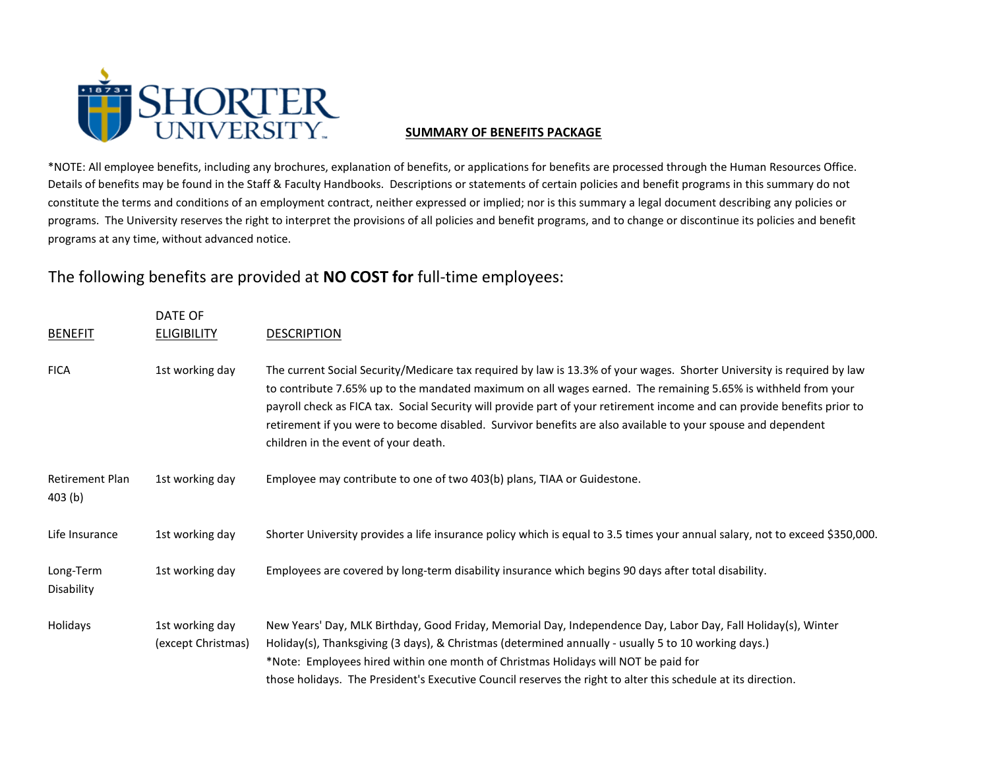

## **SUMMARY OF BENEFITS PACKAGE**

\*NOTE: All employee benefits, including any brochures, explanation of benefits, or applications for benefits are processed through the Human Resources Office. Details of benefits may be found in the Staff & Faculty Handbooks. Descriptions or statements of certain policies and benefit programs in this summary do not constitute the terms and conditions of an employment contract, neither expressed or implied; nor is this summary a legal document describing any policies or programs. The University reserves the right to interpret the provisions of all policies and benefit programs, and to change or discontinue its policies and benefit programs at any time, without advanced notice.

The following benefits are provided at **NO COST for** full-time employees:

|                                  | DATE OF                               |                                                                                                                                                                                                                                                                                                                                                                                                                                                                                                                             |  |  |
|----------------------------------|---------------------------------------|-----------------------------------------------------------------------------------------------------------------------------------------------------------------------------------------------------------------------------------------------------------------------------------------------------------------------------------------------------------------------------------------------------------------------------------------------------------------------------------------------------------------------------|--|--|
| <b>BENEFIT</b>                   | <b>ELIGIBILITY</b>                    | <b>DESCRIPTION</b>                                                                                                                                                                                                                                                                                                                                                                                                                                                                                                          |  |  |
| <b>FICA</b>                      | 1st working day                       | The current Social Security/Medicare tax required by law is 13.3% of your wages. Shorter University is required by law<br>to contribute 7.65% up to the mandated maximum on all wages earned. The remaining 5.65% is withheld from your<br>payroll check as FICA tax. Social Security will provide part of your retirement income and can provide benefits prior to<br>retirement if you were to become disabled. Survivor benefits are also available to your spouse and dependent<br>children in the event of your death. |  |  |
| <b>Retirement Plan</b><br>403(b) | 1st working day                       | Employee may contribute to one of two 403(b) plans, TIAA or Guidestone.                                                                                                                                                                                                                                                                                                                                                                                                                                                     |  |  |
| Life Insurance                   | 1st working day                       | Shorter University provides a life insurance policy which is equal to 3.5 times your annual salary, not to exceed \$350,000.                                                                                                                                                                                                                                                                                                                                                                                                |  |  |
| Long-Term<br>Disability          | 1st working day                       | Employees are covered by long-term disability insurance which begins 90 days after total disability.                                                                                                                                                                                                                                                                                                                                                                                                                        |  |  |
| Holidays                         | 1st working day<br>(except Christmas) | New Years' Day, MLK Birthday, Good Friday, Memorial Day, Independence Day, Labor Day, Fall Holiday(s), Winter<br>Holiday(s), Thanksgiving (3 days), & Christmas (determined annually - usually 5 to 10 working days.)<br>*Note: Employees hired within one month of Christmas Holidays will NOT be paid for<br>those holidays. The President's Executive Council reserves the right to alter this schedule at its direction.                                                                                                |  |  |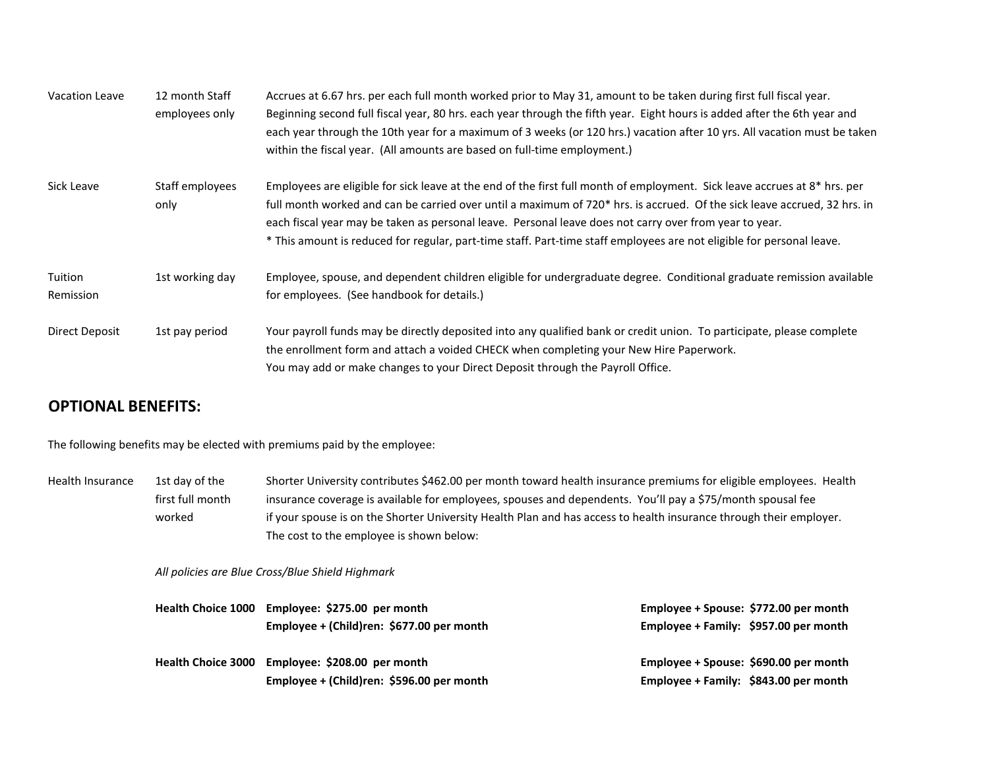| Vacation Leave       | 12 month Staff<br>employees only | Accrues at 6.67 hrs. per each full month worked prior to May 31, amount to be taken during first full fiscal year.<br>Beginning second full fiscal year, 80 hrs. each year through the fifth year. Eight hours is added after the 6th year and<br>each year through the 10th year for a maximum of 3 weeks (or 120 hrs.) vacation after 10 yrs. All vacation must be taken<br>within the fiscal year. (All amounts are based on full-time employment.)                                               |
|----------------------|----------------------------------|------------------------------------------------------------------------------------------------------------------------------------------------------------------------------------------------------------------------------------------------------------------------------------------------------------------------------------------------------------------------------------------------------------------------------------------------------------------------------------------------------|
| Sick Leave           | Staff employees<br>only          | Employees are eligible for sick leave at the end of the first full month of employment. Sick leave accrues at 8 <sup>*</sup> hrs. per<br>full month worked and can be carried over until a maximum of 720* hrs. is accrued. Of the sick leave accrued, 32 hrs. in<br>each fiscal year may be taken as personal leave. Personal leave does not carry over from year to year.<br>* This amount is reduced for regular, part-time staff. Part-time staff employees are not eligible for personal leave. |
| Tuition<br>Remission | 1st working day                  | Employee, spouse, and dependent children eligible for undergraduate degree. Conditional graduate remission available<br>for employees. (See handbook for details.)                                                                                                                                                                                                                                                                                                                                   |
| Direct Deposit       | 1st pay period                   | Your payroll funds may be directly deposited into any qualified bank or credit union. To participate, please complete<br>the enrollment form and attach a voided CHECK when completing your New Hire Paperwork.<br>You may add or make changes to your Direct Deposit through the Payroll Office.                                                                                                                                                                                                    |

## **OPTIONAL BENEFITS:**

The following benefits may be elected with premiums paid by the employee:

Health Insurance 1st day of the Shorter University contributes \$462.00 per month toward health insurance premiums for eligible employees. Health first full month insurance coverage is available for employees, spouses and dependents. You'll pay a \$75/month spousal fee worked if your spouse is on the Shorter University Health Plan and has access to health insurance through their employer. The cost to the employee is shown below:

*All policies are Blue Cross/Blue Shield Highmark*

|                           | Health Choice 1000 Employee: \$275.00 per month | Employee + Spouse: \$772.00 per month |
|---------------------------|-------------------------------------------------|---------------------------------------|
|                           | Employee + (Child)ren: \$677.00 per month       | Employee + Family: \$957.00 per month |
| <b>Health Choice 3000</b> | Employee: \$208.00 per month                    | Employee + Spouse: \$690.00 per month |
|                           | Employee + (Child)ren: \$596.00 per month       | Employee + Family: \$843.00 per month |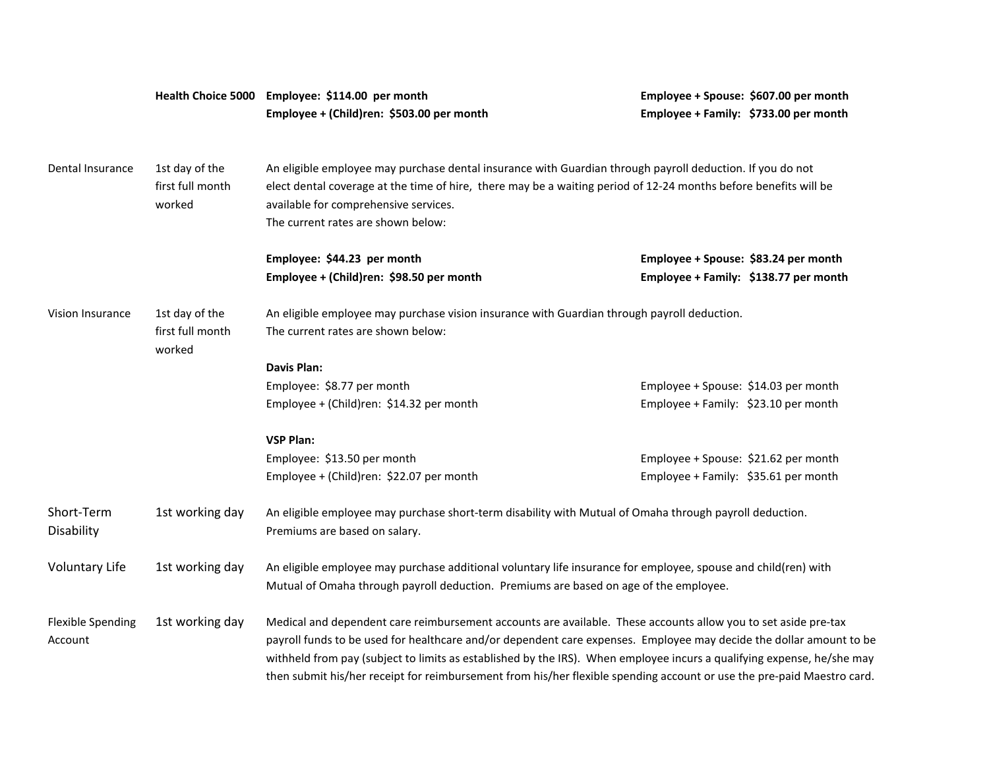|                                                                                                                                   |                                    | Health Choice 5000 Employee: \$114.00 per month<br>Employee + (Child)ren: \$503.00 per month                                                                                                                                                                                                                                                                                                                                                                                              |                                      | Employee + Spouse: \$607.00 per month<br>Employee + Family: \$733.00 per month |  |  |
|-----------------------------------------------------------------------------------------------------------------------------------|------------------------------------|-------------------------------------------------------------------------------------------------------------------------------------------------------------------------------------------------------------------------------------------------------------------------------------------------------------------------------------------------------------------------------------------------------------------------------------------------------------------------------------------|--------------------------------------|--------------------------------------------------------------------------------|--|--|
|                                                                                                                                   |                                    |                                                                                                                                                                                                                                                                                                                                                                                                                                                                                           |                                      |                                                                                |  |  |
| Dental Insurance                                                                                                                  | 1st day of the<br>first full month | An eligible employee may purchase dental insurance with Guardian through payroll deduction. If you do not<br>elect dental coverage at the time of hire, there may be a waiting period of 12-24 months before benefits will be                                                                                                                                                                                                                                                             |                                      |                                                                                |  |  |
|                                                                                                                                   | worked                             | available for comprehensive services.                                                                                                                                                                                                                                                                                                                                                                                                                                                     |                                      |                                                                                |  |  |
|                                                                                                                                   |                                    | The current rates are shown below:                                                                                                                                                                                                                                                                                                                                                                                                                                                        |                                      |                                                                                |  |  |
|                                                                                                                                   |                                    | Employee: \$44.23 per month                                                                                                                                                                                                                                                                                                                                                                                                                                                               | Employee + Spouse: \$83.24 per month |                                                                                |  |  |
|                                                                                                                                   |                                    | Employee + (Child)ren: \$98.50 per month                                                                                                                                                                                                                                                                                                                                                                                                                                                  |                                      | Employee + Family: \$138.77 per month                                          |  |  |
| Vision Insurance<br>1st day of the<br>An eligible employee may purchase vision insurance with Guardian through payroll deduction. |                                    |                                                                                                                                                                                                                                                                                                                                                                                                                                                                                           |                                      |                                                                                |  |  |
|                                                                                                                                   | first full month<br>worked         | The current rates are shown below:                                                                                                                                                                                                                                                                                                                                                                                                                                                        |                                      |                                                                                |  |  |
|                                                                                                                                   |                                    | <b>Davis Plan:</b>                                                                                                                                                                                                                                                                                                                                                                                                                                                                        |                                      |                                                                                |  |  |
|                                                                                                                                   |                                    | Employee: \$8.77 per month                                                                                                                                                                                                                                                                                                                                                                                                                                                                | Employee + Spouse: \$14.03 per month |                                                                                |  |  |
|                                                                                                                                   |                                    | Employee + (Child)ren: \$14.32 per month                                                                                                                                                                                                                                                                                                                                                                                                                                                  | Employee + Family: \$23.10 per month |                                                                                |  |  |
|                                                                                                                                   |                                    | <b>VSP Plan:</b>                                                                                                                                                                                                                                                                                                                                                                                                                                                                          |                                      |                                                                                |  |  |
|                                                                                                                                   |                                    | Employee: \$13.50 per month                                                                                                                                                                                                                                                                                                                                                                                                                                                               | Employee + Spouse: \$21.62 per month |                                                                                |  |  |
|                                                                                                                                   |                                    | Employee + (Child)ren: \$22.07 per month                                                                                                                                                                                                                                                                                                                                                                                                                                                  | Employee + Family: \$35.61 per month |                                                                                |  |  |
| Short-Term<br>Disability                                                                                                          | 1st working day                    | An eligible employee may purchase short-term disability with Mutual of Omaha through payroll deduction.<br>Premiums are based on salary.                                                                                                                                                                                                                                                                                                                                                  |                                      |                                                                                |  |  |
| <b>Voluntary Life</b>                                                                                                             | 1st working day                    | An eligible employee may purchase additional voluntary life insurance for employee, spouse and child(ren) with<br>Mutual of Omaha through payroll deduction. Premiums are based on age of the employee.                                                                                                                                                                                                                                                                                   |                                      |                                                                                |  |  |
| <b>Flexible Spending</b><br>Account                                                                                               | 1st working day                    | Medical and dependent care reimbursement accounts are available. These accounts allow you to set aside pre-tax<br>payroll funds to be used for healthcare and/or dependent care expenses. Employee may decide the dollar amount to be<br>withheld from pay (subject to limits as established by the IRS). When employee incurs a qualifying expense, he/she may<br>then submit his/her receipt for reimbursement from his/her flexible spending account or use the pre-paid Maestro card. |                                      |                                                                                |  |  |